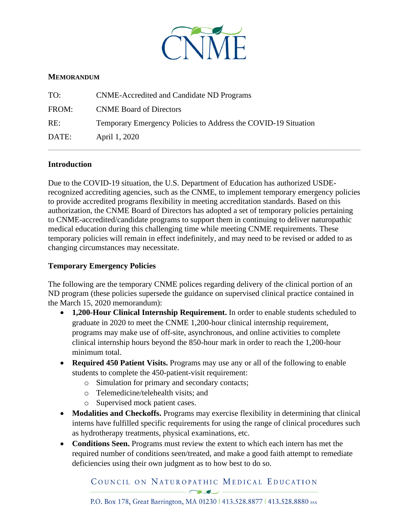

## **MEMORANDUM**

| TO:   | <b>CNME-Accredited and Candidate ND Programs</b>               |
|-------|----------------------------------------------------------------|
| FROM: | <b>CNME Board of Directors</b>                                 |
| RE:   | Temporary Emergency Policies to Address the COVID-19 Situation |
| DATE: | April 1, 2020                                                  |

## **Introduction**

Due to the COVID-19 situation, the U.S. Department of Education has authorized USDErecognized accrediting agencies, such as the CNME, to implement temporary emergency policies to provide accredited programs flexibility in meeting accreditation standards. Based on this authorization, the CNME Board of Directors has adopted a set of temporary policies pertaining to CNME-accredited/candidate programs to support them in continuing to deliver naturopathic medical education during this challenging time while meeting CNME requirements. These temporary policies will remain in effect indefinitely, and may need to be revised or added to as changing circumstances may necessitate.

\_\_\_\_\_\_\_\_\_\_\_\_\_\_\_\_\_\_\_\_\_\_\_\_\_\_\_\_\_\_\_\_\_\_\_\_\_\_\_\_\_\_\_\_\_\_\_\_\_\_\_\_\_\_\_\_\_\_\_\_\_\_\_\_\_\_\_\_\_\_\_\_\_\_\_\_\_\_\_\_\_\_\_\_\_\_\_\_\_\_\_\_\_\_\_\_\_\_\_\_\_\_\_\_\_\_\_\_\_\_\_\_\_\_\_\_\_\_\_\_\_\_\_\_\_\_\_\_\_\_\_\_\_\_\_\_\_\_\_\_\_\_\_\_\_\_\_\_\_\_\_\_\_\_\_\_

## **Temporary Emergency Policies**

The following are the temporary CNME polices regarding delivery of the clinical portion of an ND program (these policies supersede the guidance on supervised clinical practice contained in the March 15, 2020 memorandum):

- **1,200-Hour Clinical Internship Requirement.** In order to enable students scheduled to graduate in 2020 to meet the CNME 1,200-hour clinical internship requirement, programs may make use of off-site, asynchronous, and online activities to complete clinical internship hours beyond the 850-hour mark in order to reach the 1,200-hour minimum total.
- **Required 450 Patient Visits.** Programs may use any or all of the following to enable students to complete the 450-patient-visit requirement:
	- o Simulation for primary and secondary contacts;
	- o Telemedicine/telehealth visits; and
	- o Supervised mock patient cases.
- **Modalities and Checkoffs.** Programs may exercise flexibility in determining that clinical interns have fulfilled specific requirements for using the range of clinical procedures such as hydrotherapy treatments, physical examinations, etc.
- **Conditions Seen.** Programs must review the extent to which each intern has met the required number of conditions seen/treated, and make a good faith attempt to remediate deficiencies using their own judgment as to how best to do so.

COUNCIL ON NATUROPATHIC MEDICAL EDUCATION

 $\overline{\phantom{a}}$